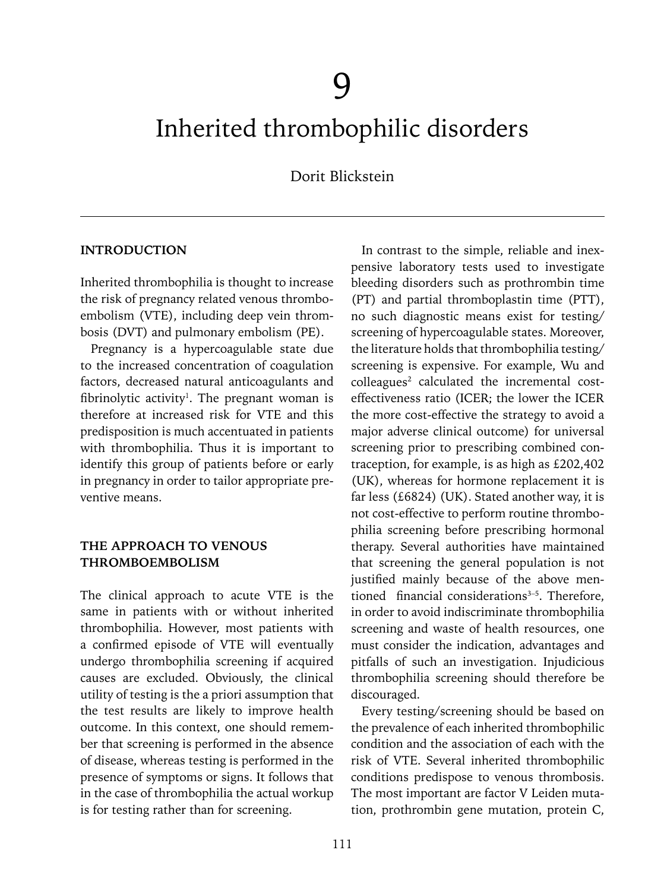# Inherited thrombophilic disorders

Dorit Blickstein

#### **INTRODUCTION**

Inherited thrombophilia is thought to increase the risk of pregnancy related venous thromboembolism (VTE), including deep vein thrombosis (DVT) and pulmonary embolism (PE).

Pregnancy is a hypercoagulable state due to the increased concentration of coagulation factors, decreased natural anticoagulants and fibrinolytic activity<sup>1</sup>. The pregnant woman is therefore at increased risk for VTE and this predisposition is much accentuated in patients with thrombophilia. Thus it is important to identify this group of patients before or early in pregnancy in order to tailor appropriate preventive means.

#### **THE APPROACH TO VENOUS THROMBOEMBOLISM**

The clinical approach to acute VTE is the same in patients with or without inherited thrombophilia. However, most patients with a confirmed episode of VTE will eventually undergo thrombophilia screening if acquired causes are excluded. Obviously, the clinical utility of testing is the a priori assumption that the test results are likely to improve health outcome. In this context, one should remember that screening is performed in the absence of disease, whereas testing is performed in the presence of symptoms or signs. It follows that in the case of thrombophilia the actual workup is for testing rather than for screening.

In contrast to the simple, reliable and inexpensive laboratory tests used to investigate bleeding disorders such as prothrombin time (PT) and partial thromboplastin time (PTT), no such diagnostic means exist for testing/ screening of hypercoagulable states. Moreover, the literature holds that thrombophilia testing/ screening is expensive. For example, Wu and  $\text{colleagues}^2$  calculated the incremental costeffectiveness ratio (ICER; the lower the ICER the more cost-effective the strategy to avoid a major adverse clinical outcome) for universal screening prior to prescribing combined contraception, for example, is as high as £202,402 (UK), whereas for hormone replacement it is far less (£6824) (UK). Stated another way, it is not cost-effective to perform routine thrombophilia screening before prescribing hormonal therapy. Several authorities have maintained that screening the general population is not justified mainly because of the above mentioned financial considerations<sup>3-5</sup>. Therefore, in order to avoid indiscriminate thrombophilia screening and waste of health resources, one must consider the indication, advantages and pitfalls of such an investigation. Injudicious thrombophilia screening should therefore be discouraged.

Every testing/screening should be based on the prevalence of each inherited thrombophilic condition and the association of each with the risk of VTE. Several inherited thrombophilic conditions predispose to venous thrombosis. The most important are factor V Leiden mutation, prothrombin gene mutation, protein C,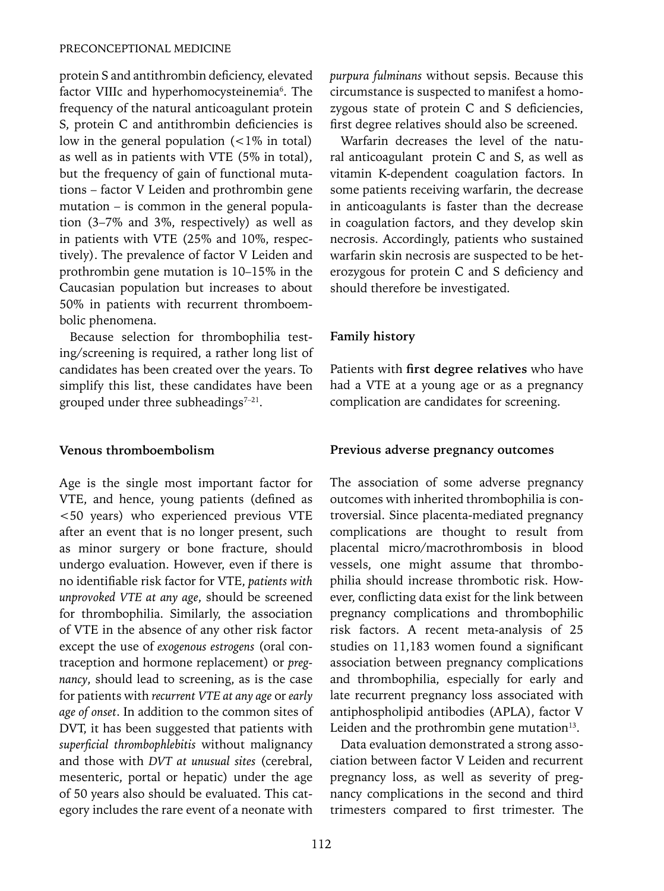protein S and antithrombin deficiency, elevated factor VIIIc and hyperhomocysteinemia<sup>6</sup>. The frequency of the natural anticoagulant protein S, protein C and antithrombin deficiencies is low in the general population (<1% in total) as well as in patients with VTE (5% in total), but the frequency of gain of functional mutations – factor V Leiden and prothrombin gene mutation – is common in the general population (3–7% and 3%, respectively) as well as in patients with VTE (25% and 10%, respectively). The prevalence of factor V Leiden and prothrombin gene mutation is 10–15% in the Caucasian population but increases to about 50% in patients with recurrent thromboembolic phenomena.

Because selection for thrombophilia testing/screening is required, a rather long list of candidates has been created over the years. To simplify this list, these candidates have been grouped under three subheadings $7-21$ .

#### **Venous thromboembolism**

Age is the single most important factor for VTE, and hence, young patients (defined as <50 years) who experienced previous VTE after an event that is no longer present, such as minor surgery or bone fracture, should undergo evaluation. However, even if there is no identifiable risk factor for VTE, *patients with unprovoked VTE at any age*, should be screened for thrombophilia. Similarly, the association of VTE in the absence of any other risk factor except the use of *exogenous estrogens* (oral contraception and hormone replacement) or *pregnancy*, should lead to screening, as is the case for patients with *recurrent VTE at any age* or *early age of onset*. In addition to the common sites of DVT, it has been suggested that patients with *superficial thrombophlebitis* without malignancy and those with *DVT at unusual sites* (cerebral, mesenteric, portal or hepatic) under the age of 50 years also should be evaluated. This category includes the rare event of a neonate with *purpura fulminans* without sepsis. Because this circumstance is suspected to manifest a homozygous state of protein C and S deficiencies, first degree relatives should also be screened.

Warfarin decreases the level of the natural anticoagulant protein C and S, as well as vitamin K-dependent coagulation factors. In some patients receiving warfarin, the decrease in anticoagulants is faster than the decrease in coagulation factors, and they develop skin necrosis. Accordingly, patients who sustained warfarin skin necrosis are suspected to be heterozygous for protein C and S deficiency and should therefore be investigated.

#### **Family history**

Patients with **first degree relatives** who have had a VTE at a young age or as a pregnancy complication are candidates for screening.

#### **Previous adverse pregnancy outcomes**

The association of some adverse pregnancy outcomes with inherited thrombophilia is controversial. Since placenta-mediated pregnancy complications are thought to result from placental micro/macrothrombosis in blood vessels, one might assume that thrombophilia should increase thrombotic risk. However, conflicting data exist for the link between pregnancy complications and thrombophilic risk factors. A recent meta-analysis of 25 studies on 11,183 women found a significant association between pregnancy complications and thrombophilia, especially for early and late recurrent pregnancy loss associated with antiphospholipid antibodies (APLA), factor V Leiden and the prothrombin gene mutation $13$ .

Data evaluation demonstrated a strong association between factor V Leiden and recurrent pregnancy loss, as well as severity of pregnancy complications in the second and third trimesters compared to first trimester. The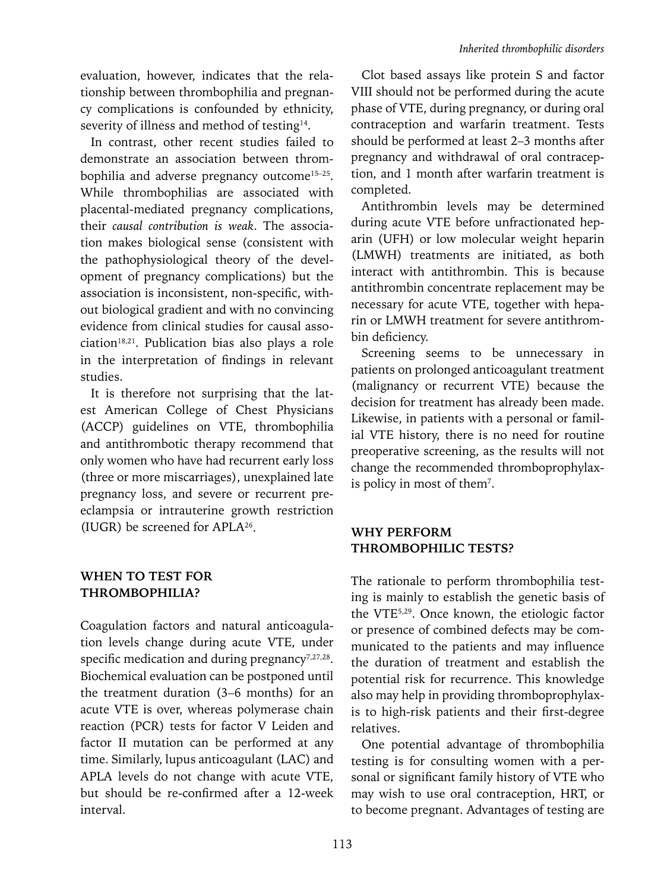evaluation, however, indicates that the relationship between thrombophilia and pregnancy complications is confounded by ethnicity, severity of illness and method of testing<sup>14</sup>.

In contrast, other recent studies failed to demonstrate an association between thrombophilia and adverse pregnancy outcome<sup>15-25</sup>. While thrombophilias are associated with placental-mediated pregnancy complications, their *causal contribution is weak*. The association makes biological sense (consistent with the pathophysiological theory of the development of pregnancy complications) but the association is inconsistent, non-specific, without biological gradient and with no convincing evidence from clinical studies for causal asso $ciation<sup>18,21</sup>$ . Publication bias also plays a role in the interpretation of findings in relevant studies.

It is therefore not surprising that the latest American College of Chest Physicians (ACCP) guidelines on VTE, thrombophilia and antithrombotic therapy recommend that only women who have had recurrent early loss (three or more miscarriages), unexplained late pregnancy loss, and severe or recurrent preeclampsia or intrauterine growth restriction (IUGR) be screened for APLA26.

## **WHEN TO TEST FOR THROMBOPHILIA?**

Coagulation factors and natural anticoagulation levels change during acute VTE, under specific medication and during pregnancy<sup>7,27,28</sup>. Biochemical evaluation can be postponed until the treatment duration (3–6 months) for an acute VTE is over, whereas polymerase chain reaction (PCR) tests for factor V Leiden and factor II mutation can be performed at any time. Similarly, lupus anticoagulant (LAC) and APLA levels do not change with acute VTE, but should be re-confirmed after a 12-week interval.

Clot based assays like protein S and factor VIII should not be performed during the acute phase of VTE, during pregnancy, or during oral contraception and warfarin treatment. Tests should be performed at least 2–3 months after pregnancy and withdrawal of oral contraception, and 1 month after warfarin treatment is completed.

Antithrombin levels may be determined during acute VTE before unfractionated heparin (UFH) or low molecular weight heparin (LMWH) treatments are initiated, as both interact with antithrombin. This is because antithrombin concentrate replacement may be necessary for acute VTE, together with heparin or LMWH treatment for severe antithrombin deficiency.

Screening seems to be unnecessary in patients on prolonged anticoagulant treatment (malignancy or recurrent VTE) because the decision for treatment has already been made. Likewise, in patients with a personal or familial VTE history, there is no need for routine preoperative screening, as the results will not change the recommended thromboprophylaxis policy in most of them7 .

### **WHY PERFORM THROMBOPHILIC TESTS?**

The rationale to perform thrombophilia testing is mainly to establish the genetic basis of the VTE5,29. Once known, the etiologic factor or presence of combined defects may be communicated to the patients and may influence the duration of treatment and establish the potential risk for recurrence. This knowledge also may help in providing thromboprophylaxis to high-risk patients and their first-degree relatives.

One potential advantage of thrombophilia testing is for consulting women with a personal or significant family history of VTE who may wish to use oral contraception, HRT, or to become pregnant. Advantages of testing are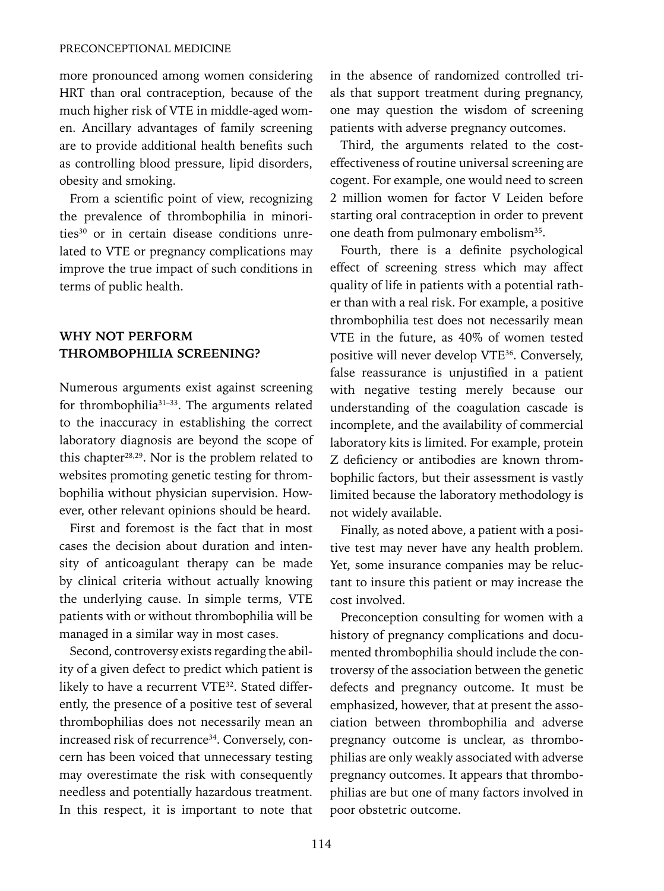more pronounced among women considering HRT than oral contraception, because of the much higher risk of VTE in middle-aged women. Ancillary advantages of family screening are to provide additional health benefits such as controlling blood pressure, lipid disorders, obesity and smoking.

From a scientific point of view, recognizing the prevalence of thrombophilia in minorities<sup>30</sup> or in certain disease conditions unrelated to VTE or pregnancy complications may improve the true impact of such conditions in terms of public health.

### **WHY NOT PERFORM THROMBOPHILIA SCREENING?**

Numerous arguments exist against screening for thrombophilia<sup>31-33</sup>. The arguments related to the inaccuracy in establishing the correct laboratory diagnosis are beyond the scope of this chapter<sup>28,29</sup>. Nor is the problem related to websites promoting genetic testing for thrombophilia without physician supervision. However, other relevant opinions should be heard.

First and foremost is the fact that in most cases the decision about duration and intensity of anticoagulant therapy can be made by clinical criteria without actually knowing the underlying cause. In simple terms, VTE patients with or without thrombophilia will be managed in a similar way in most cases.

Second, controversy exists regarding the ability of a given defect to predict which patient is likely to have a recurrent VTE<sup>32</sup>. Stated differently, the presence of a positive test of several thrombophilias does not necessarily mean an increased risk of recurrence<sup>34</sup>. Conversely, concern has been voiced that unnecessary testing may overestimate the risk with consequently needless and potentially hazardous treatment. In this respect, it is important to note that in the absence of randomized controlled trials that support treatment during pregnancy, one may question the wisdom of screening patients with adverse pregnancy outcomes.

Third, the arguments related to the costeffectiveness of routine universal screening are cogent. For example, one would need to screen 2 million women for factor V Leiden before starting oral contraception in order to prevent one death from pulmonary embolism<sup>35</sup>.

Fourth, there is a definite psychological effect of screening stress which may affect quality of life in patients with a potential rather than with a real risk. For example, a positive thrombophilia test does not necessarily mean VTE in the future, as 40% of women tested positive will never develop VTE36. Conversely, false reassurance is unjustified in a patient with negative testing merely because our understanding of the coagulation cascade is incomplete, and the availability of commercial laboratory kits is limited. For example, protein Z deficiency or antibodies are known thrombophilic factors, but their assessment is vastly limited because the laboratory methodology is not widely available.

Finally, as noted above, a patient with a positive test may never have any health problem. Yet, some insurance companies may be reluctant to insure this patient or may increase the cost involved.

Preconception consulting for women with a history of pregnancy complications and documented thrombophilia should include the controversy of the association between the genetic defects and pregnancy outcome. It must be emphasized, however, that at present the association between thrombophilia and adverse pregnancy outcome is unclear, as thrombophilias are only weakly associated with adverse pregnancy outcomes. It appears that thrombophilias are but one of many factors involved in poor obstetric outcome.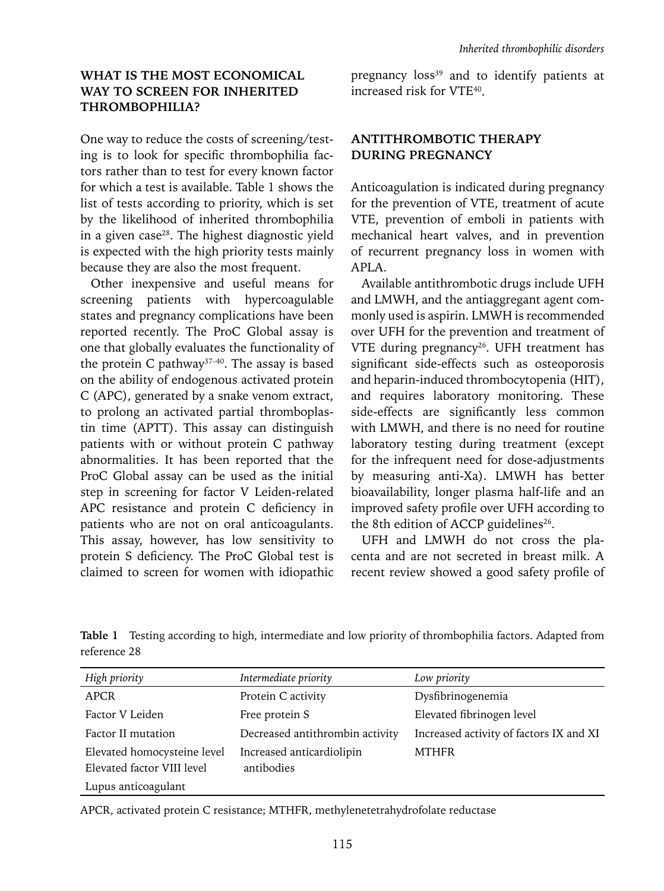## **WHAT IS THE MOST ECONOMICAL WAY TO SCREEN FOR INHERITED THROMBOPHILIA?**

One way to reduce the costs of screening/testing is to look for specific thrombophilia factors rather than to test for every known factor for which a test is available. Table 1 shows the list of tests according to priority, which is set by the likelihood of inherited thrombophilia in a given case28. The highest diagnostic yield is expected with the high priority tests mainly because they are also the most frequent.

Other inexpensive and useful means for screening patients with hypercoagulable states and pregnancy complications have been reported recently. The ProC Global assay is one that globally evaluates the functionality of the protein C pathway<sup>37-40</sup>. The assay is based on the ability of endogenous activated protein C (APC), generated by a snake venom extract, to prolong an activated partial thromboplastin time (APTT). This assay can distinguish patients with or without protein C pathway abnormalities. It has been reported that the ProC Global assay can be used as the initial step in screening for factor V Leiden-related APC resistance and protein C deficiency in patients who are not on oral anticoagulants. This assay, however, has low sensitivity to protein S deficiency. The ProC Global test is claimed to screen for women with idiopathic pregnancy loss<sup>39</sup> and to identify patients at increased risk for VTE40.

## **ANTITHROMBOTIC THERAPY DURING PREGNANCY**

Anticoagulation is indicated during pregnancy for the prevention of VTE, treatment of acute VTE, prevention of emboli in patients with mechanical heart valves, and in prevention of recurrent pregnancy loss in women with APLA.

Available antithrombotic drugs include UFH and LMWH, and the antiaggregant agent commonly used is aspirin. LMWH is recommended over UFH for the prevention and treatment of VTE during pregnancy<sup>26</sup>. UFH treatment has significant side-effects such as osteoporosis and heparin-induced thrombocytopenia (HIT), and requires laboratory monitoring. These side-effects are significantly less common with LMWH, and there is no need for routine laboratory testing during treatment (except for the infrequent need for dose-adjustments by measuring anti-Xa). LMWH has better bioavailability, longer plasma half-life and an improved safety profile over UFH according to the 8th edition of ACCP guidelines<sup>26</sup>.

UFH and LMWH do not cross the placenta and are not secreted in breast milk. A recent review showed a good safety profile of

**Table 1** Testing according to high, intermediate and low priority of thrombophilia factors. Adapted from reference 28

| High priority                                             | Intermediate priority                   | Low priority                            |
|-----------------------------------------------------------|-----------------------------------------|-----------------------------------------|
| APCR                                                      | Protein C activity                      | Dysfibrinogenemia                       |
| Factor V Leiden                                           | Free protein S                          | Elevated fibrinogen level               |
| Factor II mutation                                        | Decreased antithrombin activity         | Increased activity of factors IX and XI |
| Elevated homocysteine level<br>Elevated factor VIII level | Increased anticardiolipin<br>antibodies | <b>MTHFR</b>                            |
| Lupus anticoagulant                                       |                                         |                                         |

APCR, activated protein C resistance; MTHFR, methylenetetrahydrofolate reductase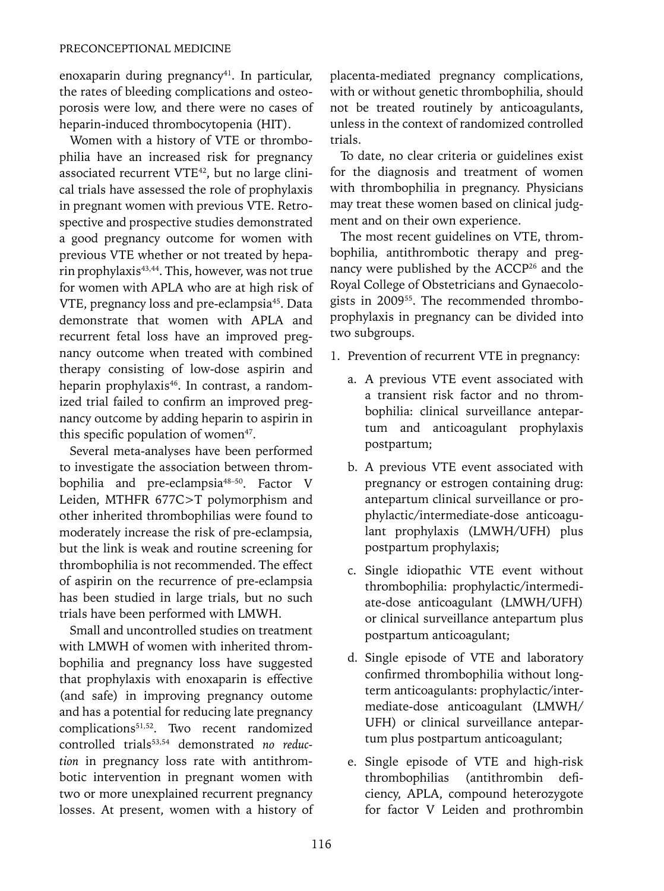enoxaparin during pregnancy<sup>41</sup>. In particular, the rates of bleeding complications and osteoporosis were low, and there were no cases of heparin-induced thrombocytopenia (HIT).

Women with a history of VTE or thrombophilia have an increased risk for pregnancy associated recurrent VTE<sup>42</sup>, but no large clinical trials have assessed the role of prophylaxis in pregnant women with previous VTE. Retrospective and prospective studies demonstrated a good pregnancy outcome for women with previous VTE whether or not treated by heparin prophylaxis<sup>43,44</sup>. This, however, was not true for women with APLA who are at high risk of VTE, pregnancy loss and pre-eclampsia<sup>45</sup>. Data demonstrate that women with APLA and recurrent fetal loss have an improved pregnancy outcome when treated with combined therapy consisting of low-dose aspirin and heparin prophylaxis<sup>46</sup>. In contrast, a randomized trial failed to confirm an improved pregnancy outcome by adding heparin to aspirin in this specific population of women<sup>47</sup>.

Several meta-analyses have been performed to investigate the association between thrombophilia and pre-eclampsia<sup>48-50</sup>. Factor V Leiden, MTHFR 677C>T polymorphism and other inherited thrombophilias were found to moderately increase the risk of pre-eclampsia, but the link is weak and routine screening for thrombophilia is not recommended. The effect of aspirin on the recurrence of pre-eclampsia has been studied in large trials, but no such trials have been performed with LMWH.

Small and uncontrolled studies on treatment with LMWH of women with inherited thrombophilia and pregnancy loss have suggested that prophylaxis with enoxaparin is effective (and safe) in improving pregnancy outome and has a potential for reducing late pregnancy complications<sup>51,52</sup>. Two recent randomized controlled trials<sup>53,54</sup> demonstrated no reduc*tion* in pregnancy loss rate with antithrombotic intervention in pregnant women with two or more unexplained recurrent pregnancy losses. At present, women with a history of placenta-mediated pregnancy complications, with or without genetic thrombophilia, should not be treated routinely by anticoagulants, unless in the context of randomized controlled trials.

To date, no clear criteria or guidelines exist for the diagnosis and treatment of women with thrombophilia in pregnancy. Physicians may treat these women based on clinical judgment and on their own experience.

The most recent guidelines on VTE, thrombophilia, antithrombotic therapy and pregnancy were published by the ACCP<sup>26</sup> and the Royal College of Obstetricians and Gynaecologists in 200955. The recommended thromboprophylaxis in pregnancy can be divided into two subgroups.

- 1. Prevention of recurrent VTE in pregnancy:
	- a. A previous VTE event associated with a transient risk factor and no thrombophilia: clinical surveillance antepartum and anticoagulant prophylaxis postpartum;
	- b. A previous VTE event associated with pregnancy or estrogen containing drug: antepartum clinical surveillance or prophylactic/intermediate-dose anticoagulant prophylaxis (LMWH/UFH) plus postpartum prophylaxis;
	- c. Single idiopathic VTE event without thrombophilia: prophylactic/intermediate-dose anticoagulant (LMWH/UFH) or clinical surveillance antepartum plus postpartum anticoagulant;
	- d. Single episode of VTE and laboratory confirmed thrombophilia without longterm anticoagulants: prophylactic/intermediate-dose anticoagulant (LMWH/ UFH) or clinical surveillance antepartum plus postpartum anticoagulant;
	- e. Single episode of VTE and high-risk thrombophilias (antithrombin deficiency, APLA, compound heterozygote for factor V Leiden and prothrombin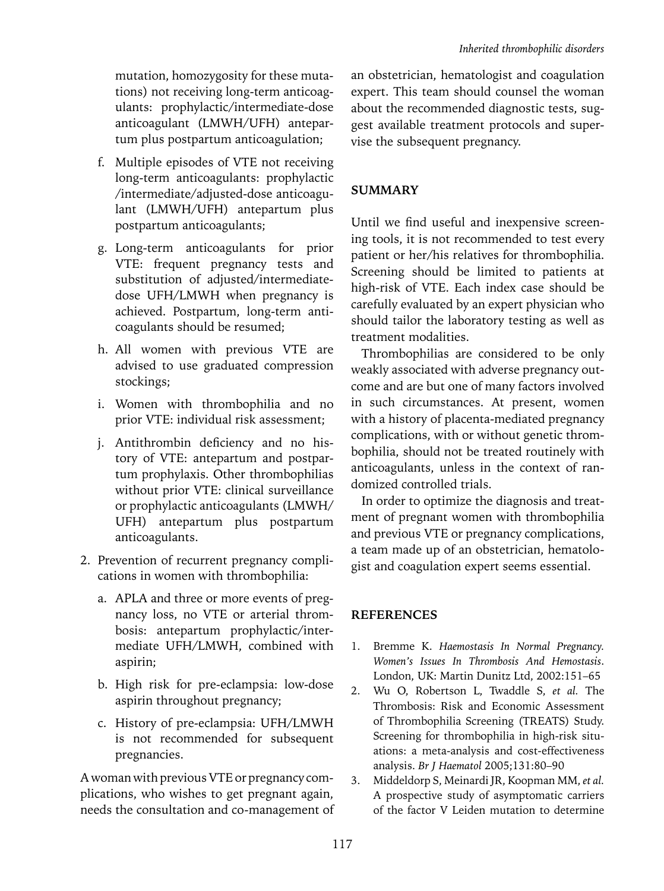mutation, homozygosity for these mutations) not receiving long-term anticoagulants: prophylactic/intermediate-dose anticoagulant (LMWH/UFH) antepartum plus postpartum anticoagulation;

- f. Multiple episodes of VTE not receiving long-term anticoagulants: prophylactic /intermediate/adjusted-dose anticoagulant (LMWH/UFH) antepartum plus postpartum anticoagulants;
- g. Long-term anticoagulants for prior VTE: frequent pregnancy tests and substitution of adjusted/intermediatedose UFH/LMWH when pregnancy is achieved. Postpartum, long-term anticoagulants should be resumed;
- h. All women with previous VTE are advised to use graduated compression stockings;
- i. Women with thrombophilia and no prior VTE: individual risk assessment;
- j. Antithrombin deficiency and no history of VTE: antepartum and postpartum prophylaxis. Other thrombophilias without prior VTE: clinical surveillance or prophylactic anticoagulants (LMWH/ UFH) antepartum plus postpartum anticoagulants.
- 2. Prevention of recurrent pregnancy complications in women with thrombophilia:
	- a. APLA and three or more events of pregnancy loss, no VTE or arterial thrombosis: antepartum prophylactic/intermediate UFH/LMWH, combined with aspirin;
	- b. High risk for pre-eclampsia: low-dose aspirin throughout pregnancy;
	- c. History of pre-eclampsia: UFH/LMWH is not recommended for subsequent pregnancies.

A woman with previous VTE or pregnancy complications, who wishes to get pregnant again, needs the consultation and co-management of

an obstetrician, hematologist and coagulation expert. This team should counsel the woman about the recommended diagnostic tests, suggest available treatment protocols and supervise the subsequent pregnancy.

## **SUMMARY**

Until we find useful and inexpensive screening tools, it is not recommended to test every patient or her/his relatives for thrombophilia. Screening should be limited to patients at high-risk of VTE. Each index case should be carefully evaluated by an expert physician who should tailor the laboratory testing as well as treatment modalities.

Thrombophilias are considered to be only weakly associated with adverse pregnancy outcome and are but one of many factors involved in such circumstances. At present, women with a history of placenta-mediated pregnancy complications, with or without genetic thrombophilia, should not be treated routinely with anticoagulants, unless in the context of randomized controlled trials.

In order to optimize the diagnosis and treatment of pregnant women with thrombophilia and previous VTE or pregnancy complications, a team made up of an obstetrician, hematologist and coagulation expert seems essential.

# **References**

- 1. Bremme K. *Haemostasis In Normal Pregnancy. Women's Issues In Thrombosis And Hemostasis*. London, UK: Martin Dunitz Ltd, 2002:151–65
- 2. Wu O, Robertson L, Twaddle S, *et al.* The Thrombosis: Risk and Economic Assessment of Thrombophilia Screening (TREATS) Study. Screening for thrombophilia in high-risk situations: a meta-analysis and cost-effectiveness analysis. *Br J Haematol* 2005;131:80–90
- 3. Middeldorp S, Meinardi JR, Koopman MM, *et al.*  A prospective study of asymptomatic carriers of the factor V Leiden mutation to determine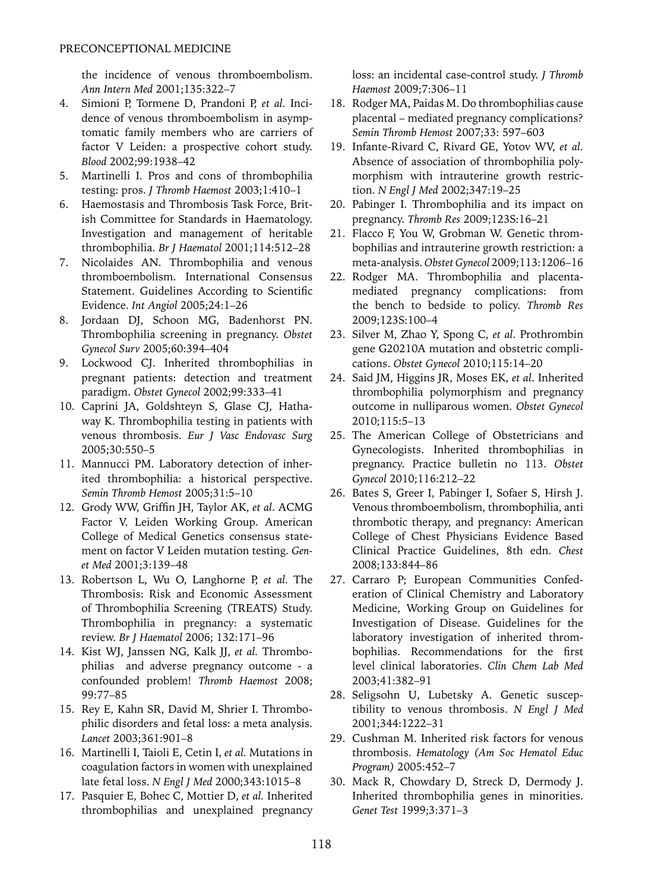the incidence of venous thromboembolism. *Ann Intern Med* 2001;135:322–7

- 4. Simioni P, Tormene D, Prandoni P, *et al.* Incidence of venous thromboembolism in asymptomatic family members who are carriers of factor V Leiden: a prospective cohort study. *Blood* 2002;99:1938–42
- 5. Martinelli I. Pros and cons of thrombophilia testing: pros. *J Thromb Haemost* 2003;1:410–1
- 6. Haemostasis and Thrombosis Task Force, British Committee for Standards in Haematology. Investigation and management of heritable thrombophilia. *Br J Haematol* 2001;114:512–28
- 7. Nicolaides AN. Thrombophilia and venous thromboembolism. International Consensus Statement. Guidelines According to Scientific Evidence. *Int Angiol* 2005;24:1–26
- 8. Jordaan DJ, Schoon MG, Badenhorst PN. Thrombophilia screening in pregnancy. *Obstet Gynecol Surv* 2005;60:394–404
- 9. Lockwood CJ. Inherited thrombophilias in pregnant patients: detection and treatment paradigm. *Obstet Gynecol* 2002;99:333–41
- 10. Caprini JA, Goldshteyn S, Glase CJ, Hathaway K. Thrombophilia testing in patients with venous thrombosis. *Eur J Vasc Endovasc Surg* 2005;30:550–5
- 11. Mannucci PM. Laboratory detection of inherited thrombophilia: a historical perspective. *Semin Thromb Hemost* 2005;31:5–10
- 12. Grody WW, Griffin JH, Taylor AK, *et al*. ACMG Factor V. Leiden Working Group. American College of Medical Genetics consensus statement on factor V Leiden mutation testing. *Genet Med* 2001;3:139–48
- 13. Robertson L, Wu O, Langhorne P, *et al.* The Thrombosis: Risk and Economic Assessment of Thrombophilia Screening (TREATS) Study. Thrombophilia in pregnancy: a systematic review. *Br J Haematol* 2006; 132:171–96
- 14. Kist WJ, Janssen NG, Kalk JJ, *et al.* Thrombophilias and adverse pregnancy outcome - a confounded problem! *Thromb Haemost* 2008; 99:77–85
- 15. Rey E, Kahn SR, David M, Shrier I. Thrombophilic disorders and fetal loss: a meta analysis. *Lancet* 2003;361:901–8
- 16. Martinelli I, Taioli E, Cetin I, *et al.* Mutations in coagulation factors in women with unexplained late fetal loss. *N Engl J Med* 2000;343:1015–8
- 17. Pasquier E, Bohec C, Mottier D, *et al.* Inherited thrombophilias and unexplained pregnancy

loss: an incidental case-control study. *J Thromb Haemost* 2009;7:306–11

- 18. Rodger MA, Paidas M. Do thrombophilias cause placental – mediated pregnancy complications? *Semin Thromb Hemost* 2007;33: 597–603
- 19. Infante-Rivard C, Rivard GE, Yotov WV, *et al.* Absence of association of thrombophilia polymorphism with intrauterine growth restriction. *N Engl J Med* 2002;347:19–25
- 20. Pabinger I. Thrombophilia and its impact on pregnancy. *Thromb Res* 2009;123S:16–21
- 21. Flacco F, You W, Grobman W. Genetic thrombophilias and intrauterine growth restriction: a meta-analysis. *Obstet Gynecol* 2009;113:1206–16
- 22. Rodger MA. Thrombophilia and placentamediated pregnancy complications: from the bench to bedside to policy. *Thromb Res*  2009;123S:100–4
- 23. Silver M, Zhao Y, Spong C, *et al*. Prothrombin gene G20210A mutation and obstetric complications. *Obstet Gynecol* 2010;115:14–20
- 24. Said JM, Higgins JR, Moses EK, *et al*. Inherited thrombophilia polymorphism and pregnancy outcome in nulliparous women. *Obstet Gynecol*  2010;115:5–13
- 25. The American College of Obstetricians and Gynecologists. Inherited thrombophilias in pregnancy. Practice bulletin no 113. *Obstet Gynecol* 2010;116:212–22
- 26. Bates S, Greer I, Pabinger I, Sofaer S, Hirsh J. Venous thromboembolism, thrombophilia, anti thrombotic therapy, and pregnancy: American College of Chest Physicians Evidence Based Clinical Practice Guidelines, 8th edn. *Chest* 2008;133:844–86
- 27. Carraro P; European Communities Confederation of Clinical Chemistry and Laboratory Medicine, Working Group on Guidelines for Investigation of Disease. Guidelines for the laboratory investigation of inherited thrombophilias. Recommendations for the first level clinical laboratories. *Clin Chem Lab Med*  2003;41:382–91
- 28. Seligsohn U, Lubetsky A. Genetic susceptibility to venous thrombosis. *N Engl J Med*  2001;344:1222–31
- 29. Cushman M. Inherited risk factors for venous thrombosis. *Hematology (Am Soc Hematol Educ Program)* 2005:452–7
- 30. Mack R, Chowdary D, Streck D, Dermody J. Inherited thrombophilia genes in minorities. *Genet Test* 1999;3:371–3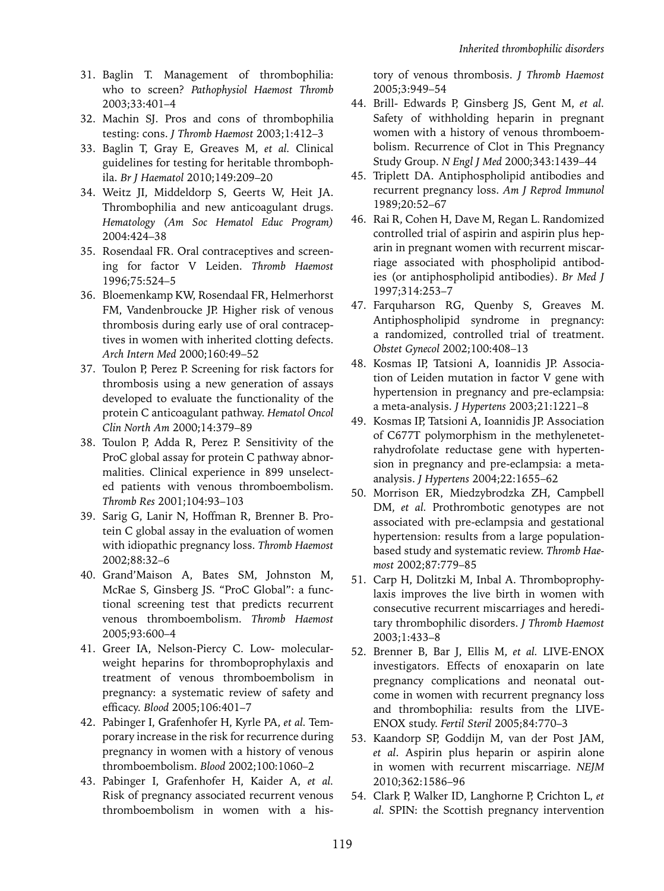- 31. Baglin T. Management of thrombophilia: who to screen? *Pathophysiol Haemost Thromb* 2003;33:401–4
- 32. Machin SJ. Pros and cons of thrombophilia testing: cons. *J Thromb Haemost* 2003;1:412–3
- 33. Baglin T, Gray E, Greaves M, *et al.* Clinical guidelines for testing for heritable thrombophila. *Br J Haematol* 2010;149:209–20
- 34. Weitz JI, Middeldorp S, Geerts W, Heit JA. Thrombophilia and new anticoagulant drugs. *Hematology (Am Soc Hematol Educ Program)* 2004:424–38
- 35. Rosendaal FR. Oral contraceptives and screening for factor V Leiden. *Thromb Haemost* 1996;75:524–5
- 36. Bloemenkamp KW, Rosendaal FR, Helmerhorst FM, Vandenbroucke JP. Higher risk of venous thrombosis during early use of oral contraceptives in women with inherited clotting defects. *Arch Intern Med* 2000;160:49–52
- 37. Toulon P, Perez P. Screening for risk factors for thrombosis using a new generation of assays developed to evaluate the functionality of the protein C anticoagulant pathway. *Hematol Oncol Clin North Am* 2000;14:379–89
- 38. Toulon P, Adda R, Perez P. Sensitivity of the ProC global assay for protein C pathway abnormalities. Clinical experience in 899 unselected patients with venous thromboembolism. *Thromb Res* 2001;104:93–103
- 39. Sarig G, Lanir N, Hoffman R, Brenner B. Protein C global assay in the evaluation of women with idiopathic pregnancy loss. *Thromb Haemost*  2002;88:32–6
- 40. Grand'Maison A, Bates SM, Johnston M, McRae S, Ginsberg JS. "ProC Global": a functional screening test that predicts recurrent venous thromboembolism. *Thromb Haemost* 2005;93:600–4
- 41. Greer IA, Nelson-Piercy C. Low- molecularweight heparins for thromboprophylaxis and treatment of venous thromboembolism in pregnancy: a systematic review of safety and efficacy. *Blood* 2005;106:401–7
- 42. Pabinger I, Grafenhofer H, Kyrle PA, *et al.* Temporary increase in the risk for recurrence during pregnancy in women with a history of venous thromboembolism. *Blood* 2002;100:1060–2
- 43. Pabinger I, Grafenhofer H, Kaider A, *et al.*  Risk of pregnancy associated recurrent venous thromboembolism in women with a his-

tory of venous thrombosis. *J Thromb Haemost*  2005;3:949–54

- 44. Brill- Edwards P, Ginsberg JS, Gent M, *et al.*  Safety of withholding heparin in pregnant women with a history of venous thromboembolism. Recurrence of Clot in This Pregnancy Study Group. *N Engl J Med* 2000;343:1439–44
- 45. Triplett DA. Antiphospholipid antibodies and recurrent pregnancy loss. *Am J Reprod Immunol*  1989;20:52–67
- 46. Rai R, Cohen H, Dave M, Regan L. Randomized controlled trial of aspirin and aspirin plus heparin in pregnant women with recurrent miscarriage associated with phospholipid antibodies (or antiphospholipid antibodies). *Br Med J*  1997;314:253–7
- 47. Farquharson RG, Quenby S, Greaves M. Antiphospholipid syndrome in pregnancy: a randomized, controlled trial of treatment. *Obstet Gynecol* 2002;100:408–13
- 48. Kosmas IP, Tatsioni A, Ioannidis JP. Association of Leiden mutation in factor V gene with hypertension in pregnancy and pre-eclampsia: a meta-analysis. *J Hypertens* 2003;21:1221–8
- 49. Kosmas IP, Tatsioni A, Ioannidis JP. Association of C677T polymorphism in the methylenetetrahydrofolate reductase gene with hypertension in pregnancy and pre-eclampsia: a metaanalysis. *J Hypertens* 2004;22:1655–62
- 50. Morrison ER, Miedzybrodzka ZH, Campbell DM, *et al.* Prothrombotic genotypes are not associated with pre-eclampsia and gestational hypertension: results from a large populationbased study and systematic review. *Thromb Haemost* 2002;87:779–85
- 51. Carp H, Dolitzki M, Inbal A. Thromboprophylaxis improves the live birth in women with consecutive recurrent miscarriages and hereditary thrombophilic disorders. *J Thromb Haemost*  2003;1:433–8
- 52. Brenner B, Bar J, Ellis M, *et al.* LIVE-ENOX investigators. Effects of enoxaparin on late pregnancy complications and neonatal outcome in women with recurrent pregnancy loss and thrombophilia: results from the LIVE-ENOX study. *Fertil Steril* 2005;84:770–3
- 53. Kaandorp SP, Goddijn M, van der Post JAM, *et al*. Aspirin plus heparin or aspirin alone in women with recurrent miscarriage. *NEJM*  2010;362:1586–96
- 54. Clark P, Walker ID, Langhorne P, Crichton L, *et al.* SPIN: the Scottish pregnancy intervention